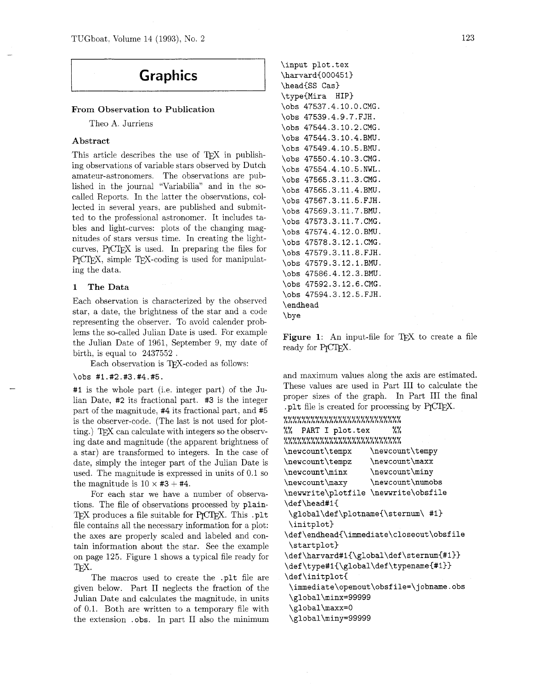# **Graphics**

### From Observation to Publication

Theo A. Jurriens

#### Abstract

This article describes the use of TFX in publishing observations of variable stars observed by Dutch amateur-astronomers. The observations are published in the journal "Variabilia" and in the socalled Reports. In the latter the observations, collected in several years, are published and submitted to the professional astronomer. It includes tables and light-curves: plots of the changing magnitudes of stars versus time. In creating the lightamateur-astronomers. The observations are pub-<br>lished in the journal "Variabilia" and in the so-<br>called Reports. In the latter the observations, col-<br>lected in several years, are published and submit-<br>ted to the profession PICIEX, simple TEX-coding is used for manipulating the data.

#### 1 The Data

Each observation is characterized by the observed star, a date, the brightness of the star and a code representing the observer. To avoid calender problems the so-called Julian Date is used. For example the Julian Date of 1961, September 9, my date of birth, is equal to 2437552 .

Each observation is TEX-coded as follows:

#### **\obs #1.#2.#3.#4.#5.**

**#I** is the whole part (i.e. integer part) of the Julian Date, **#2** its fractional part. **#3** is the integer part of the magnitude, **#4** its fractional part, and **#5**  is the observer-code. (The last is not used for plotting.) TEX can calculate with integers so the observing date and magnitude (the apparent brightness of a star) are transformed to integers. In the case of date, simply the integer part of the Julian Date is used. The magnitude is expressed in units of 0.1 so the magnitude is  $10 \times #3 + #4$ .

For each star we have a number of observations. The file of observations processed by **plain-**TEX produces a file suitable for P<sub>I</sub>CTEX. This .plt file contains all the necessary information for a plot: the axes are properly scaled and labeled and contain information about the star. See the example on page 125. Figure 1 shows a typical file ready for T<sub>F</sub>X.

The macros used to create the **.plt** file are given below. Part I1 neglects the fraction of the Julian Date and calculates the magnitude, in units of 0.1. Both are written to a temporary file with the extension . **obs.** In part I1 also the minimum

```
\input plot.tex 
\harvard{000451) 
\headCSS Cas) 
\type{Mira HIP) 
\obs 47537.4.10.O.CMG. 
\obs 47539.4.9.7.FJH. 
\obs 47544.3.10.2.CMG. 
\obs 47544.3.10.4.BMU. 
\obs 47549.4.10.5.BMU. 
\obs 47550.4.10.3.CMG. 
\obs 47554.4.10.5.NWL. 
\obs 47565.3.11.3.CMG. 
\obs 47565.3.11.4.BMU. 
\obs 47567.3.11.5.FJH. 
\obs 47569.3.11.7.BMU. 
\obs 47573.3.11.7.CMG. 
\obs 47574.4.12.O.BMU. 
\obs 47578.3.12.1.CMG. 
\obs 47579.3.11.8.FJH. 
\obs 47579.3.12.1.BMU. 
\obs 47586.4.12.3.BMU. 
\obs 47592.3.12.6.CMG. 
\obs 47594.3.12.5.FJH. 
\endhead 
\bye
```
Figure 1: An input-file for TFX to create a file ready for PrCT<sub>FX</sub>.

and maximum values along the axis are estimated. These values are used in Part I11 to calculate the proper sizes of the graph. In Part I11 the final plt file is created for processing by PICTEX. **I0000000000000100000000000** LLLLLLLLLLLLLLLLLLLLLLLLLL %% **PART I plot.tex** %%

| \newcount\tempx                         | \newcount\tempy                          |  |  |  |  |  |
|-----------------------------------------|------------------------------------------|--|--|--|--|--|
| \newcount\tempz                         | \newcount\maxx                           |  |  |  |  |  |
| \newcount\minx                          | \newcount\miny                           |  |  |  |  |  |
| \newcount\maxy                          | \newcount\numobs                         |  |  |  |  |  |
| \newwrite\plotfile \newwrite\obsfile    |                                          |  |  |  |  |  |
| \def\head#1{                            |                                          |  |  |  |  |  |
| \global\def\plotname{\sternum\ #1}      |                                          |  |  |  |  |  |
| \initplot}                              |                                          |  |  |  |  |  |
|                                         | \def\endhead{\immediate\closeout\obsfile |  |  |  |  |  |
| \startplot}                             |                                          |  |  |  |  |  |
| \def\harvard#1{\global\def\sternum{#1}} |                                          |  |  |  |  |  |
| \def\type#1{\global\def\typename{#1}}   |                                          |  |  |  |  |  |
| \def\initplot{                          |                                          |  |  |  |  |  |
|                                         | \immediate\openout\obsfile=\jobname.obs  |  |  |  |  |  |
| \global\minx=99999                      |                                          |  |  |  |  |  |
| \global\maxx=0                          |                                          |  |  |  |  |  |
| \global\miny=99999                      |                                          |  |  |  |  |  |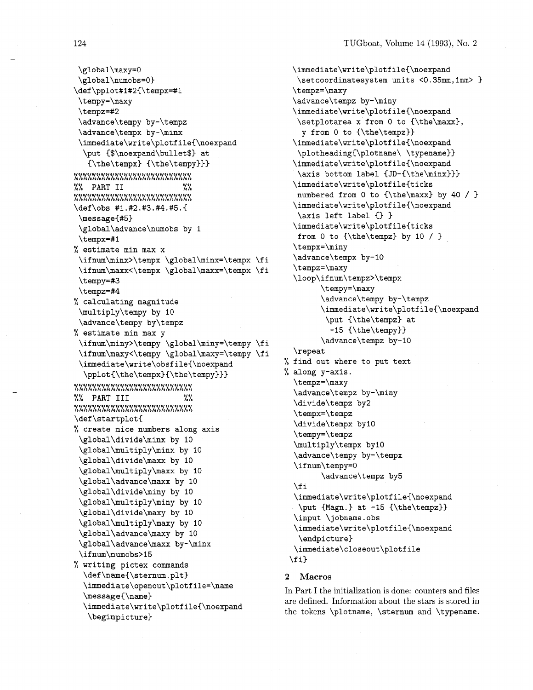\global\maxy=O \global\numobs=O) \def \pplot#l#2{\tempx=#l \tempy=\maxy \t empz=#2 \advance\tempy by-\tempz \advance\t empx by-\minx **\immediate\write\plotfile{\noexpand**  \put (\$\noexpand\bullet\$) at (\the\tempx) (\the\tempy))) **OOOOIOOOOOOOOOOOO~00OOOOOO** LLLLLLLLLLLLLLLLLLLLLLLLLL %% **PART I1** %% **000000~0000D0D0l000D000000** LLLLLLLLLLLLLLLLLLLLLLLLLL \def\obs #1.#2.#3.#4.#5.(  $\nessage{#5}$ \global\advance\numobs by 1 \t empx=#l % estimate min max x \ifnum\minx>\tempx \global\minx=\tempx \fi \ifnum\maxx<\tempx \global\maxx=\tempx \fi \tempy=#3 \tempz=#4 % calculating magnitude \multiply\tempy by 10 \advance\tempy by\tempz % estimate min max y \ifnum\miny>\tempy \global\miny=\tempy \fi \ifnum\maxy<\tempy \global\maxy=\tempy \fi  $\imath$ umediate $\urite\obsfile{\noexpand}$ \pplot{\the\tempx}{\the\tempy}}} **0000000u0000001000000000I0** LLLLLLLLLLLLLLLLLLLLLLLLLL %% **PART I11** %% **<sup>00000000000001010000000000</sup>**LLLLLLLLLLLLLLLLLLLLLLLLLL \def \startplot( % create nice numbers along axis \global\divide\minx by 10 \global\multiply\minx by 10 \global\divide\maxx by 10 \global\multiply\maxx by 10 \global\advance\maxx by 10 \global\divide\miny by 10 \global\multiply\miny by 10 \global\divide\maxy by 10 \global\multiply\maxy by 10 \global\advance\maxy by 10 \global\advance\maxx by-\minx \ifnum\numobs>15 % writing pictex commands \def\name{\sternum.plt} **\immediate\~penout\~lotfile=\name**  \message(\name) **\immediate\write\plotfile{\noexpand** 

\beginpicture)

```
\immediate\write\plotf ile{\noexpand 
  \setcoordinatesystem units <0.35mm, lmm> 
  \t empz=\maxy 
  \advance\tempz by-\miny 
  \immediate\write\plotfile(\noexpand 
   \setplotarea x from 0 to {\the\maxx), 
    y from 0 to (\the\tempz)) 
  \immediate\write\plotfile{\noexpand 
   \plotheading(\plotname\ \typename)) 
  \immediate\write\plotfile(\noexpand 
   \axis bottom label (JD-{\the\minx))) 
  \immediate\write\plotfile(ticks 
  numbered from 0 to \theta \max by 40 / }
  \immediate\write\plotfile(\noexpand 
   \axis left label {} }
  \immediate\write\plotfile(ticks 
   from 0 to \theta\ tempz} by 10 / }
  \tempx=\miny 
  \advance\tempx by-10 
  \t empz=\maxy 
  \loop\if num\t empz>\t empx 
        \tempy=\maxy 
        \advance\tempy by-\tempz 
        \immediate\write\plotfile{\noexpand
         \put (\the\tempz) at 
          -15 {\the\tempy}}
        \advance\tempz by-10 
  \repeat 
% find out where to put text 
% along y-axis. 
  \tempz=\maxy 
  \advance\tempz by-\miny 
  \divide\tempz by2 
  \tempx=\tempz 
  \divide\tempx by10 
  \tempy=\tempz 
  \multiply\tempx by10 
  \advance\tempy by-\tempx 
  \ifnum\tempy=O 
        \advance\tempz by5 
  \chi i
  \immediate\write\plotfile{\noexpand 
  \put {Magn.} at -15 {\the\tempz}}
  \input \ j obname . obs 
  \immediate\write\plotfile(\noexpand 
   \endpicture) 
  \immediate\closeout\plotfile 
 \{f_i\}
```
## **2 Macros**

In Part I the initialization is done: counters and files are defined. Information about the stars is stored in the tokens \plotname, \sternum and \typename.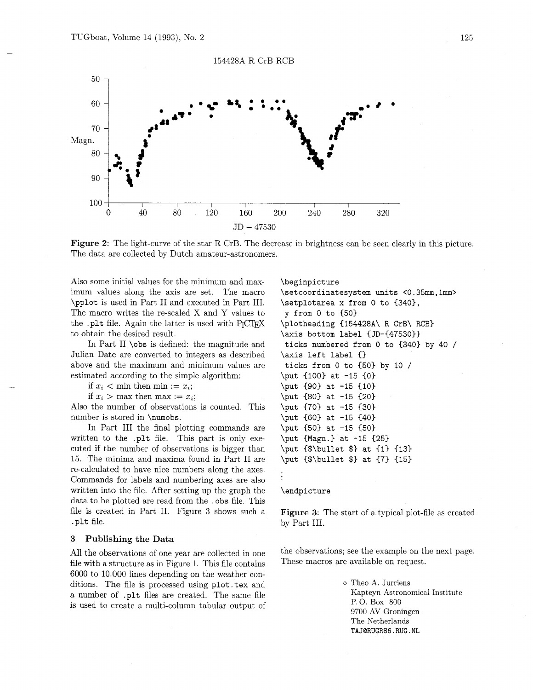

**Figure 2:** The light-curve of the star R CrB. The decrease in brightness can be seen clearly in this picture. The data are collected by Dutch amateur-astronomers.

Also some initial values for the minimum and maximum values along the axis are set. The macro \pplot is used in Part I1 and executed in Part 111. The macro writes the re-scaled X and Y values to the .plt file. Again the latter is used with PrCTFX to obtain the desired result.

In Part I1 \obs is defined: the magnitude and Julian Date are converted to integers as described above and the maximum and minimum values are estimated according to the simple algorithm:

if  $x_i <$  min then min :=  $x_i$ ;

if  $x_i > \text{max}$  then  $\text{max} := x_i$ ;

Also the number of observations is counted. This number is stored in \numobs.

In Part I11 the final plotting commands are written to the .plt file. This part is only executed if the number of observations is bigger than 15. The minima and maxima found in Part I1 are re-calculated to have nice numbers along the axes. Commands for labels and numbering axes are also written into the file. After setting up the graph the data to be plotted are read from the .obs file. This file is created in Part 11. Figure 3 shows such a . plt file.

#### **3 Publishing the Data**

file with a structure as in Figure 1. This file contains 6000 to 10.000 lines depending on the weather conditions. The file is processed using plot. tex and  $\circ$  Theo A. Jurriens<br>a number of plt files are greated. The same file of the Same School is the Same School is the Same School is the Same School is the Same School is th a number of .plt files are created. The same file  $\frac{\text{Kapteyn Astro}}{\text{P.O. Box 800}}$ is used to create a multi-column tabular output of

```
\beginpicture 
\setcoordinatesystem units <0.35mm,lmm> 
\setplotarea x from 0 to (340), 
y from 0 to (50) 
\plotheading (154428A\ R CrB\ RCB) 
\axis bottom label (JD-(47530)) 
ticks numbered from 0 to (340) by 40 / 
\axis left label {) 
ticks from 0 to (50) by 10 / 
\put {100} at -15 {0}
\put (90) at -15 €10) 
\put (80) at -15 (20) 
\put (70) at -15 (30) 
\put (60) at -15 (40) 
\put {50} at -15 {50}
\put (Map.) at -15 (25) 
\put {$\bullet $) at (1) (13) 
\put {$\bullet $) at (7) (15)
```
#### \endpicture

**Figure 3:** The start of a typical plot-file **as** created by Part 111.

All the observations of one year are collected in one the observations; see the example on the next page.<br>file with a structure as in Figure 1. This file contains These macros are available on request.

9700 AV Groningen The Netherlands **TAJQRUGR86.RUG.NL**